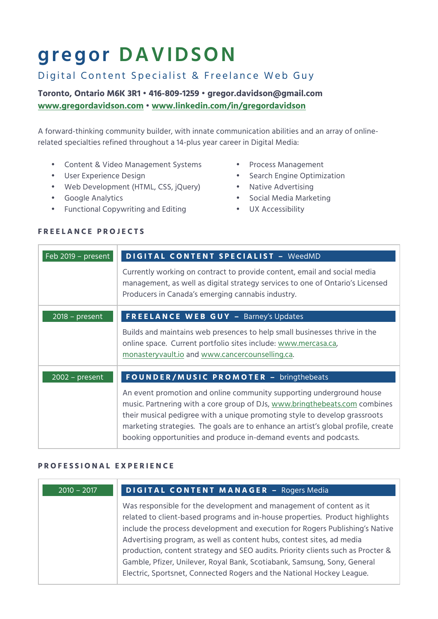# **gregor DAVIDSON**

## Digital Content Specialist & Freelance Web Guy

**Toronto, Ontario M6K 3R1 • 416-809-1259 • gregor.davidson@gmail.com www.gregordavidson.com • www.linkedin.com/in/gregordavidson**

A forward-thinking community builder, with innate communication abilities and an array of onlinerelated specialties refined throughout a 14-plus year career in Digital Media:

- Content & Video Management Systems
- User Experience Design
- Web Development (HTML, CSS, jQuery)
- Google Analytics
- Functional Copywriting and Editing
- Process Management
- Search Engine Optimization
- Native Advertising
	- Social Media Marketing
- UX Accessibility

| Feb 2019 - present | <b>DIGITAL CONTENT SPECIALIST - WeedMD</b>                                                                                                                                                                                                                                                                                                                                                |
|--------------------|-------------------------------------------------------------------------------------------------------------------------------------------------------------------------------------------------------------------------------------------------------------------------------------------------------------------------------------------------------------------------------------------|
|                    | Currently working on contract to provide content, email and social media<br>management, as well as digital strategy services to one of Ontario's Licensed<br>Producers in Canada's emerging cannabis industry.                                                                                                                                                                            |
| $2018$ – present   | <b>FREELANCE WEB GUY - Barney's Updates</b>                                                                                                                                                                                                                                                                                                                                               |
|                    | Builds and maintains web presences to help small businesses thrive in the<br>online space. Current portfolio sites include: www.mercasa.ca,<br>monastery vault.io and www.cancercounselling.ca.                                                                                                                                                                                           |
| $2002 - present$   | FOUNDER/MUSIC PROMOTER - bringthebeats                                                                                                                                                                                                                                                                                                                                                    |
|                    | An event promotion and online community supporting underground house<br>music. Partnering with a core group of DJs, www.bringthebeats.com combines<br>their musical pedigree with a unique promoting style to develop grassroots<br>marketing strategies. The goals are to enhance an artist's global profile, create<br>booking opportunities and produce in-demand events and podcasts. |

### **FREELANCE PROJECTS**

#### **PROFESSIONAL EXPERIENCE**

| $2010 - 2017$ | <b>DIGITAL CONTENT MANAGER - Rogers Media</b>                                                                                                                                                                                                                                                                                                                                                                                                                                                                                                        |
|---------------|------------------------------------------------------------------------------------------------------------------------------------------------------------------------------------------------------------------------------------------------------------------------------------------------------------------------------------------------------------------------------------------------------------------------------------------------------------------------------------------------------------------------------------------------------|
|               | Was responsible for the development and management of content as it<br>related to client-based programs and in-house properties. Product highlights<br>include the process development and execution for Rogers Publishing's Native<br>Advertising program, as well as content hubs, contest sites, ad media<br>production, content strategy and SEO audits. Priority clients such as Procter &<br>Gamble, Pfizer, Unilever, Royal Bank, Scotiabank, Samsung, Sony, General<br>Electric, Sportsnet, Connected Rogers and the National Hockey League. |